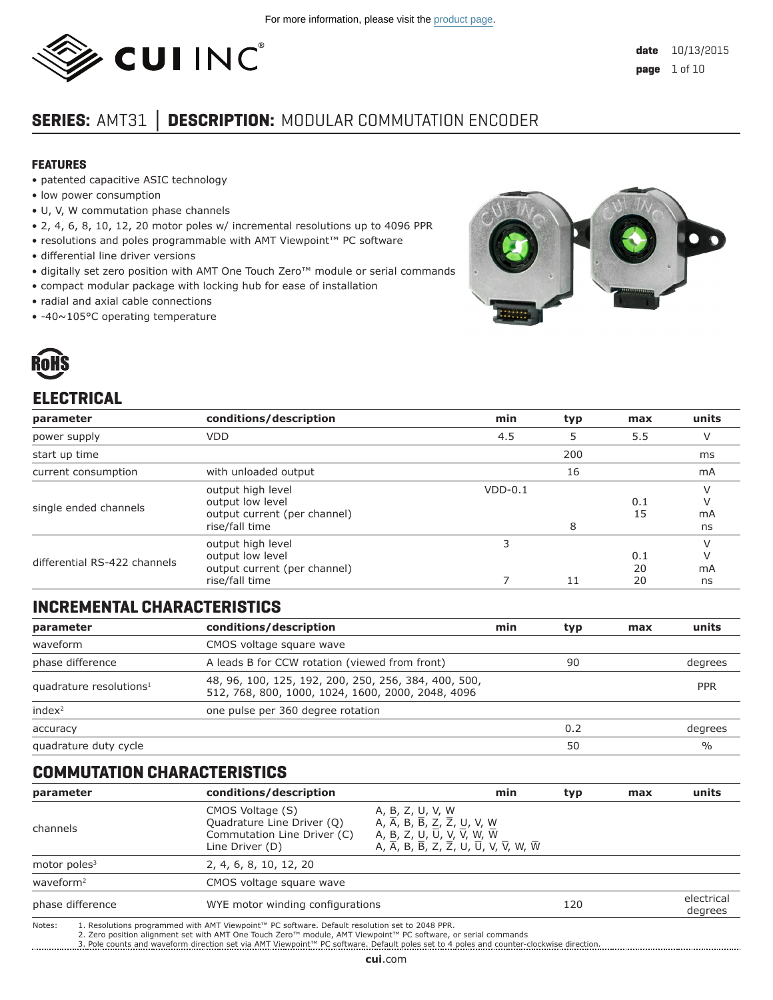

# **SERIES:** AMT31 **│ DESCRIPTION:** MODULAR COMMUTATION ENCODER

#### **FEATURES**

- patented capacitive ASIC technology
- low power consumption
- U, V, W commutation phase channels
- 2, 4, 6, 8, 10, 12, 20 motor poles w/ incremental resolutions up to 4096 PPR
- resolutions and poles programmable with AMT Viewpoint™ PC software
- differential line driver versions
- digitally set zero position with AMT One Touch Zero™ module or serial commands
- compact modular package with locking hub for ease of installation
- radial and axial cable connections
- -40~105°C operating temperature



# **ELECTRICAL**

| parameter                          | conditions/description                                                                  | min       | typ | max             | units         |
|------------------------------------|-----------------------------------------------------------------------------------------|-----------|-----|-----------------|---------------|
| power supply                       | <b>VDD</b>                                                                              | 4.5       | 5   | 5.5             | V             |
| start up time                      |                                                                                         |           | 200 |                 | ms            |
| current consumption                | with unloaded output                                                                    |           | 16  |                 | mA            |
| single ended channels              | output high level<br>output low level<br>output current (per channel)<br>rise/fall time | $VDD-0.1$ | 8   | 0.1<br>15       | V<br>mA<br>ns |
| differential RS-422 channels       | output high level<br>output low level<br>output current (per channel)<br>rise/fall time | 3<br>7    | 11  | 0.1<br>20<br>20 | mA<br>ns      |
| <b>INCREMENTAL CHARACTERISTICS</b> |                                                                                         |           |     |                 |               |

# **INCREMENTAL CHARACTERISTICS**

| conditions/description<br>parameter |                                                                                                           | min | typ | max | units         |
|-------------------------------------|-----------------------------------------------------------------------------------------------------------|-----|-----|-----|---------------|
| waveform                            | CMOS voltage square wave                                                                                  |     |     |     |               |
| phase difference                    | A leads B for CCW rotation (viewed from front)                                                            |     | 90  |     | degrees       |
| quadrature resolutions <sup>1</sup> | 48, 96, 100, 125, 192, 200, 250, 256, 384, 400, 500,<br>512, 768, 800, 1000, 1024, 1600, 2000, 2048, 4096 |     |     |     | <b>PPR</b>    |
| index <sup>2</sup>                  | one pulse per 360 degree rotation                                                                         |     |     |     |               |
| accuracy                            |                                                                                                           |     | 0.2 |     | degrees       |
| quadrature duty cycle               |                                                                                                           |     | 50  |     | $\frac{0}{0}$ |

## **COMMUTATION CHARACTERISTICS**

| parameter             | conditions/description                                                                                                                                                                                                                                                                                                                                                                                                                                                                         | min                                                                                                                                                                                                                                                                                    | typ | max | units                 |
|-----------------------|------------------------------------------------------------------------------------------------------------------------------------------------------------------------------------------------------------------------------------------------------------------------------------------------------------------------------------------------------------------------------------------------------------------------------------------------------------------------------------------------|----------------------------------------------------------------------------------------------------------------------------------------------------------------------------------------------------------------------------------------------------------------------------------------|-----|-----|-----------------------|
| channels              | CMOS Voltage (S)<br>Quadrature Line Driver (Q)<br>Commutation Line Driver (C)<br>Line Driver (D)                                                                                                                                                                                                                                                                                                                                                                                               | A, B, Z, U, V, W<br>A, $\overline{A}$ , B, $\overline{B}$ , Z, $\overline{Z}$ , U, V, W<br>A, B, Z, U, $\overline{U}$ , V, $\overline{V}$ , W, $\overline{W}$<br>A, $\overline{A}$ , B, $\overline{B}$ , Z, $\overline{Z}$ , U, $\overline{U}$ , V, $\overline{V}$ , W, $\overline{W}$ |     |     |                       |
| motor poles $3$       | 2, 4, 6, 8, 10, 12, 20                                                                                                                                                                                                                                                                                                                                                                                                                                                                         |                                                                                                                                                                                                                                                                                        |     |     |                       |
| waveform <sup>2</sup> | CMOS voltage square wave                                                                                                                                                                                                                                                                                                                                                                                                                                                                       |                                                                                                                                                                                                                                                                                        |     |     |                       |
| phase difference      | WYE motor winding configurations                                                                                                                                                                                                                                                                                                                                                                                                                                                               |                                                                                                                                                                                                                                                                                        | 120 |     | electrical<br>degrees |
|                       | $\mathbf{M} \times \mathbf{M} = \mathbf{M} \times \mathbf{M} = \mathbf{M} \times \mathbf{M}$ , $\mathbf{M} = \mathbf{M} \times \mathbf{M} \times \mathbf{M} \times \mathbf{M} \times \mathbf{M} \times \mathbf{M} \times \mathbf{M} \times \mathbf{M} \times \mathbf{M} \times \mathbf{M} \times \mathbf{M} \times \mathbf{M} \times \mathbf{M} \times \mathbf{M} \times \mathbf{M} \times \mathbf{M} \times \mathbf{M} \times \mathbf{M} \times \mathbf{M} \times \mathbf{M} \times \mathbf{$ |                                                                                                                                                                                                                                                                                        |     |     |                       |

Notes: 1. Resolutions programmed with AMT Viewpoint™ PC software. Default resolution set to 2048 PPR.<br>2. Zero position alignment set with AMT One Touch Zero™ module, AMT Viewpoint™ PC software, or serial commands

3. Pole counts and waveform direction set via AMT Viewpoint™ PC software. Default poles set to 4 poles and counter-clockwise direction.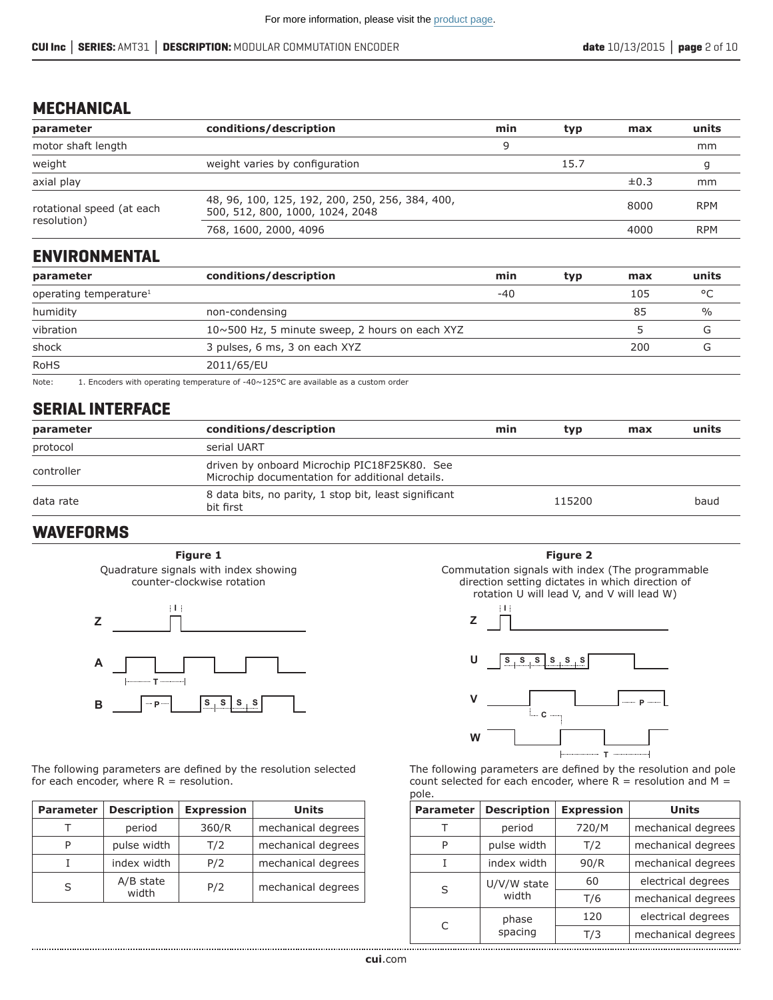## **MECHANICAL**

| parameter                                | conditions/description                                                             | min | typ  | max       | units      |
|------------------------------------------|------------------------------------------------------------------------------------|-----|------|-----------|------------|
| motor shaft length                       |                                                                                    | q   |      |           | mm         |
| weight                                   | weight varies by configuration                                                     |     | 15.7 |           |            |
| axial play                               |                                                                                    |     |      | $\pm 0.3$ | mm         |
| rotational speed (at each<br>resolution) | 48, 96, 100, 125, 192, 200, 250, 256, 384, 400,<br>500, 512, 800, 1000, 1024, 2048 |     |      | 8000      | <b>RPM</b> |
|                                          | 768, 1600, 2000, 4096                                                              |     |      | 4000      | <b>RPM</b> |

## **ENVIRONMENTAL**

| parameter                          | conditions/description                         | min | typ | max | units |
|------------------------------------|------------------------------------------------|-----|-----|-----|-------|
| operating temperature <sup>1</sup> |                                                | -40 |     | 105 | °C    |
| humidity                           | non-condensing                                 |     |     | 85  | %     |
| vibration                          | 10~500 Hz, 5 minute sweep, 2 hours on each XYZ |     |     |     |       |
| shock                              | 3 pulses, 6 ms, 3 on each XYZ                  |     |     | 200 |       |
| <b>RoHS</b>                        | 2011/65/EU                                     |     |     |     |       |

Note: 1. Encoders with operating temperature of -40~125°C are available as a custom order

# **SERIAL INTERFACE**

| parameter  | conditions/description                                                                          | min | typ    | max | units |
|------------|-------------------------------------------------------------------------------------------------|-----|--------|-----|-------|
| protocol   | serial UART                                                                                     |     |        |     |       |
| controller | driven by onboard Microchip PIC18F25K80. See<br>Microchip documentation for additional details. |     |        |     |       |
| data rate  | 8 data bits, no parity, 1 stop bit, least significant<br>bit first                              |     | 115200 |     | baud  |

# **WAVEFORMS**

Quadrature signals with index showing counter-clockwise rotation **Figure 1**



The following parameters are defined by the resolution selected for each encoder, where  $R =$  resolution.

| <b>Parameter</b> | <b>Description</b>   | <b>Expression</b> | Units              |
|------------------|----------------------|-------------------|--------------------|
|                  | period               | 360/R             | mechanical degrees |
| P                | pulse width          | T/2               | mechanical degrees |
|                  | index width          | P/2               | mechanical degrees |
| S                | $A/B$ state<br>width | P/2               | mechanical degrees |



Commutation signals with index (The programmable direction setting dictates in which direction of rotation U will lead V, and V will lead W)



The following parameters are defined by the resolution and pole count selected for each encoder, where  $R =$  resolution and  $M =$ pole.

| <b>Parameter</b> | <b>Description</b> | <b>Expression</b> | <b>Units</b>       |
|------------------|--------------------|-------------------|--------------------|
|                  | period             | 720/M             | mechanical degrees |
| P                | pulse width        | T/2               | mechanical degrees |
|                  | index width        | 90/R              | mechanical degrees |
|                  | U/V/W state        | 60                | electrical degrees |
| S                | width              | T/6               | mechanical degrees |
|                  | phase              | 120               | electrical degrees |
| C                | spacing            | T/3               | mechanical degrees |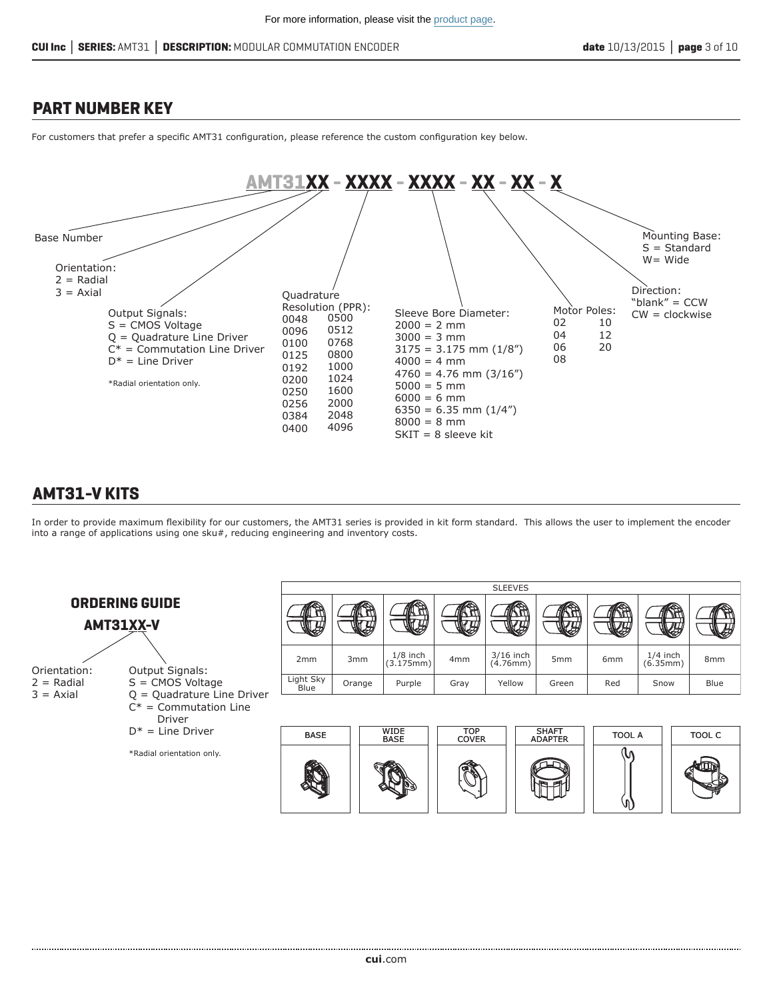## **PART NUMBER KEY**

For customers that prefer a specific AMT31 configuration, please reference the custom configuration key below.



# **AMT31-V KITS**

In order to provide maximum flexibility for our customers, the AMT31 series is provided in kit form standard. This allows the user to implement the encoder into a range of applications using one sku#, reducing engineering and inventory costs.

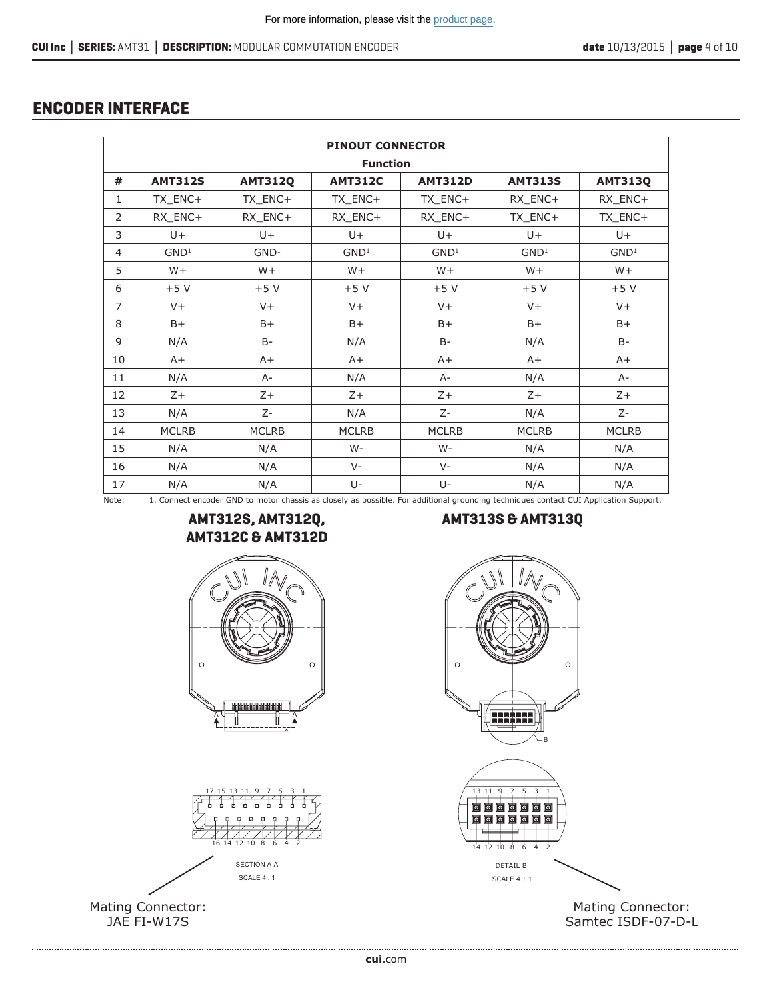# **ENCODER INTERFACE**

|                | <b>PINOUT CONNECTOR</b> |                  |                  |                                                                                                                                      |                  |                  |
|----------------|-------------------------|------------------|------------------|--------------------------------------------------------------------------------------------------------------------------------------|------------------|------------------|
|                |                         |                  | <b>Function</b>  |                                                                                                                                      |                  |                  |
| #              | <b>AMT312S</b>          | <b>AMT312Q</b>   | <b>AMT312C</b>   | <b>AMT312D</b>                                                                                                                       | <b>AMT313S</b>   | <b>AMT313Q</b>   |
| $\mathbf{1}$   | TX_ENC+                 | TX_ENC+          | TX_ENC+          | TX ENC+                                                                                                                              | RX ENC+          | RX_ENC+          |
| $\overline{2}$ | RX_ENC+                 | RX_ENC+          | RX_ENC+          | RX_ENC+                                                                                                                              | TX_ENC+          | TX_ENC+          |
| 3              | $U +$                   | $U +$            | $U +$            | $U +$                                                                                                                                | $U +$            | $U +$            |
| 4              | GND <sup>1</sup>        | GND <sup>1</sup> | GND <sup>1</sup> | GND <sup>1</sup>                                                                                                                     | GND <sup>1</sup> | GND <sup>1</sup> |
| 5              | $W +$                   | $W +$            | $W +$            | $W +$                                                                                                                                | $W +$            | $W +$            |
| 6              | $+5V$                   | $+5V$            | $+5V$            | $+5V$                                                                                                                                | $+5V$            | +5 V             |
| $\overline{7}$ | $V +$                   | $V +$            | $V +$            | $V +$                                                                                                                                | $V +$            | $V +$            |
| 8              | $B+$                    | $B+$             | $B+$             | $B+$                                                                                                                                 | $B+$             | $B+$             |
| 9              | N/A                     | $B -$            | N/A              | $B -$                                                                                                                                | N/A              | $B -$            |
| 10             | $A+$                    | $A+$             | $A+$             | $A+$                                                                                                                                 | $A+$             | $A+$             |
| 11             | N/A                     | $A -$            | N/A              | $A-$                                                                                                                                 | N/A              | $A-$             |
| 12             | $Z+$                    | $Z+$             | $Z+$             | $Z+$                                                                                                                                 | $Z+$             | $Z+$             |
| 13             | N/A                     | $Z-$             | N/A              | $Z-$                                                                                                                                 | N/A              | $Z-$             |
| 14             | <b>MCLRB</b>            | <b>MCLRB</b>     | <b>MCLRB</b>     | <b>MCLRB</b>                                                                                                                         | <b>MCLRB</b>     | <b>MCLRB</b>     |
| 15             | N/A                     | N/A              | $W -$            | W-                                                                                                                                   | N/A              | N/A              |
| 16             | N/A                     | N/A              | $V -$            | $V -$                                                                                                                                | N/A              | N/A              |
| 17             | N/A                     | N/A              | $U -$            | $U -$                                                                                                                                | N/A              | N/A              |
| Note:          |                         |                  |                  | 1. Connect encoder GND to motor chassis as closely as possible. For additional grounding techniques contact CUI Application Support. |                  |                  |

# **AMT312C & AMT312D**





Mating Connector: JAE FI-W17S

#### **AMT312S, AMT312Q, AMT313S & AMT313Q**



Mating Connector: Samtec ISDF-07-D-L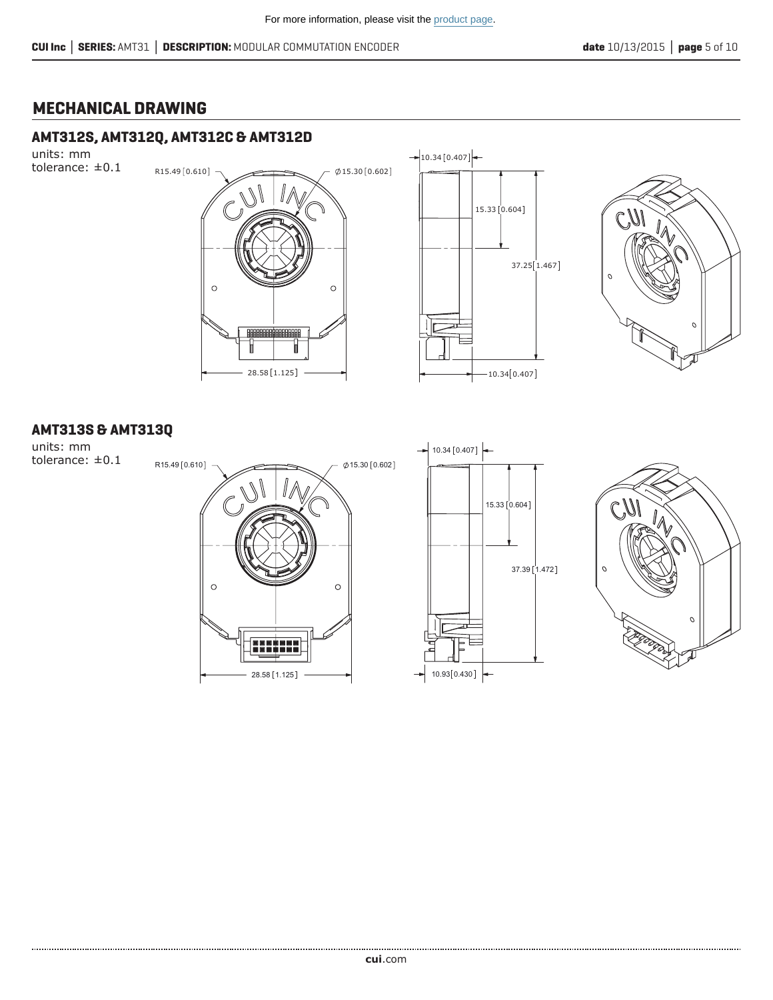## **MECHANICAL DRAWING**

#### **AMT312S, AMT312Q, AMT312C & AMT312D**

units: mm tolerance: ±0.1







#### **AMT313S & AMT313Q**

units: mm tolerance: ±0.1





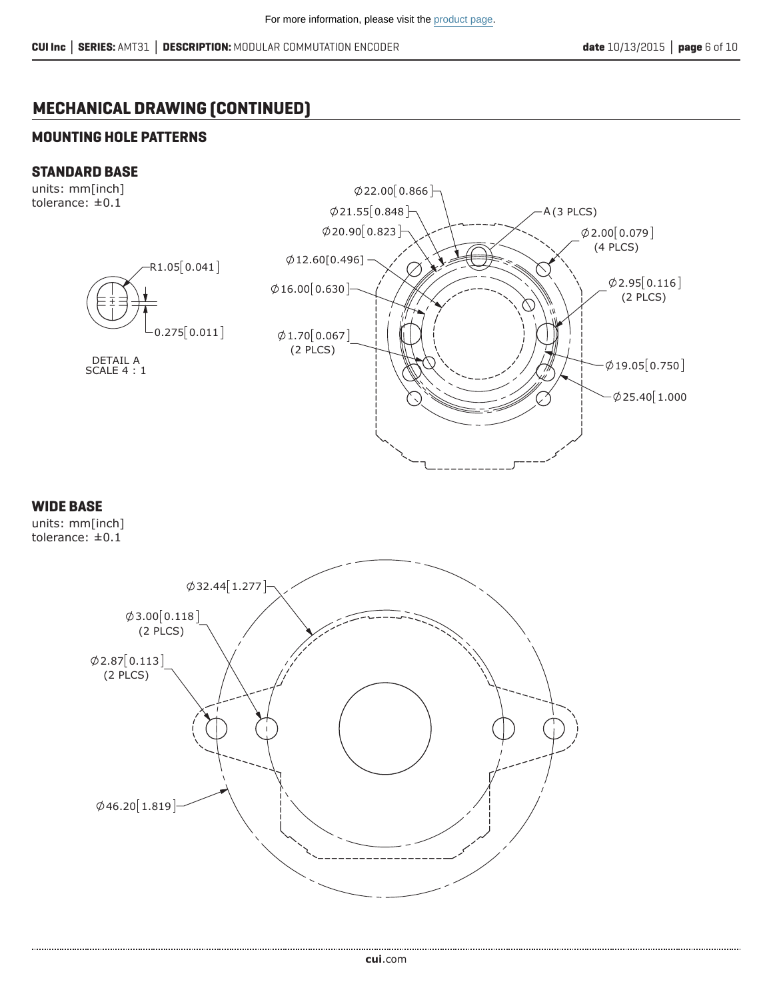# **MECHANICAL DRAWING (CONTINUED)**

#### **MOUNTING HOLE PATTERNS**

#### **STANDARD BASE**

units: mm[inch] tolerance: ±0.1



#### **WIDE BASE**

units: mm[inch] tolerance: ±0.1

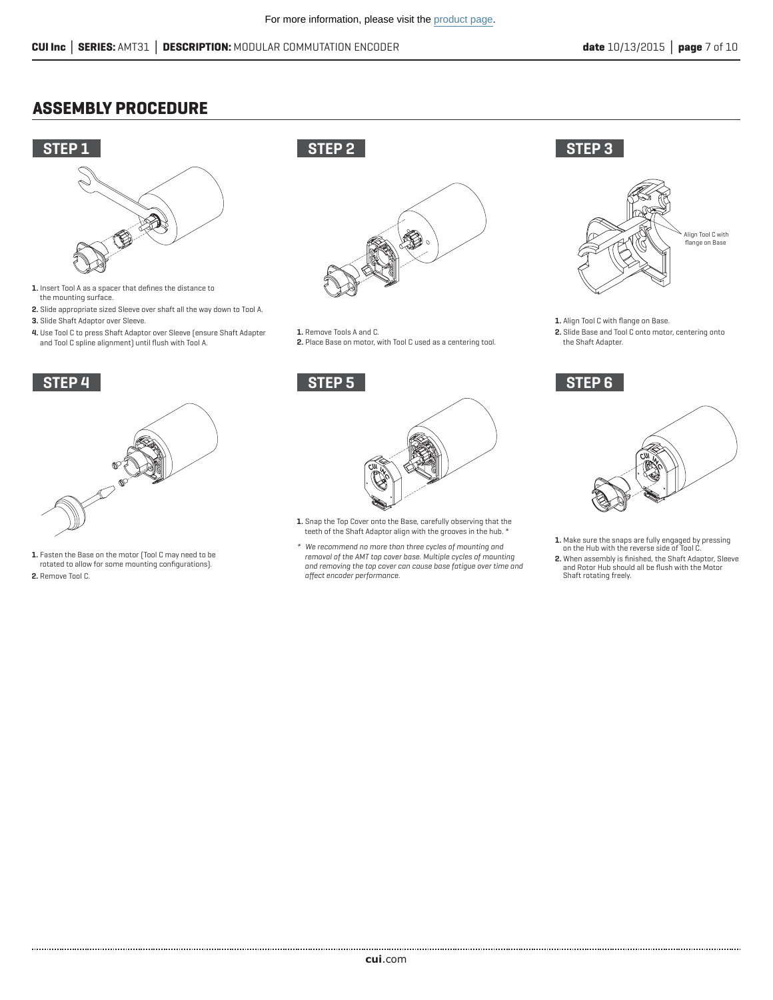## **ASSEMBLY PROCEDURE**



- **1.** Insert Tool A as a spacer that defines the distance to the mounting surface.
- **2.** Slide appropriate sized Sleeve over shaft all the way down to Tool A. **3.** Slide Shaft Adaptor over Sleeve.
- **4.** Use Tool C to press Shaft Adaptor over Sleeve (ensure Shaft Adapter and Tool C spline alignment) until flush with Tool A.



**1.** Fasten the Base on the motor (Tool C may need to be rotated to allow for some mounting configurations). **2.** Remove Tool C.

# **STEP 2**



- **1.** Remove Tools A and C.
- **2.** Place Base on motor, with Tool C used as a centering tool.



- **1.** Snap the Top Cover onto the Base, carefully observing that the teeth of the Shaft Adaptor align with the grooves in the hub. \*
- *\* We recommend no more than three cycles of mounting and removal of the AMT top cover base. Multiple cycles of mounting and removing the top cover can cause base fatigue over time and affect encoder performance.*





- **1.** Align Tool C with flange on Base.
- **2.** Slide Base and Tool C onto motor, centering onto the Shaft Adapter.





- **1.** Make sure the snaps are fully engaged by pressing on the Hub with the reverse side of Tool C.
- **2.** When assembly is finished, the Shaft Adaptor, Sleeve and Rotor Hub should all be flush with the Motor Shaft rotating freely.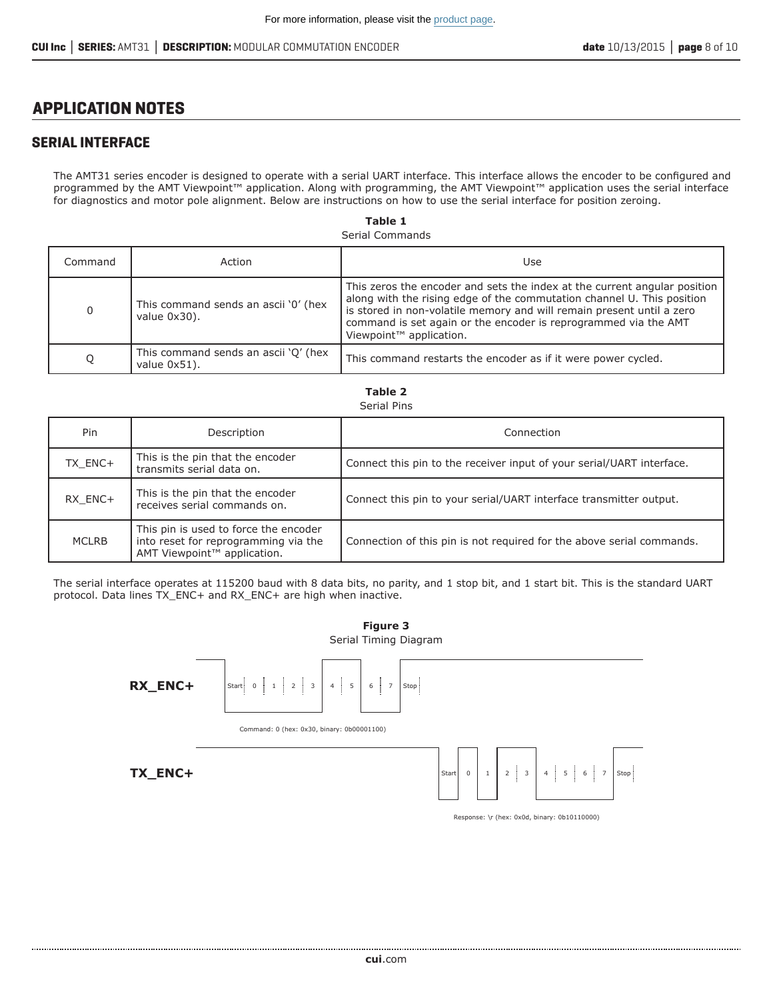## **APPLICATION NOTES**

#### **SERIAL INTERFACE**

The AMT31 series encoder is designed to operate with a serial UART interface. This interface allows the encoder to be configured and programmed by the AMT Viewpoint™ application. Along with programming, the AMT Viewpoint™ application uses the serial interface for diagnostics and motor pole alignment. Below are instructions on how to use the serial interface for position zeroing.

> Serial Commands **Table 1**

| Command | Action                                               | Use                                                                                                                                                                                                                                                                                                                                    |
|---------|------------------------------------------------------|----------------------------------------------------------------------------------------------------------------------------------------------------------------------------------------------------------------------------------------------------------------------------------------------------------------------------------------|
| 0       | This command sends an ascii '0' (hex<br>value 0x30). | This zeros the encoder and sets the index at the current angular position<br>along with the rising edge of the commutation channel U. This position<br>is stored in non-volatile memory and will remain present until a zero<br>command is set again or the encoder is reprogrammed via the AMT<br>Viewpoint <sup>™</sup> application. |
| Q       | This command sends an ascii 'Q' (hex<br>value 0x51). | This command restarts the encoder as if it were power cycled.                                                                                                                                                                                                                                                                          |

| Serial Pins  |                                                                                                              |                                                                       |  |  |  |
|--------------|--------------------------------------------------------------------------------------------------------------|-----------------------------------------------------------------------|--|--|--|
| Pin          | Description                                                                                                  | Connection                                                            |  |  |  |
| TX_ENC+      | This is the pin that the encoder<br>transmits serial data on.                                                | Connect this pin to the receiver input of your serial/UART interface. |  |  |  |
| RX ENC+      | This is the pin that the encoder<br>receives serial commands on.                                             | Connect this pin to your serial/UART interface transmitter output.    |  |  |  |
| <b>MCLRB</b> | This pin is used to force the encoder<br>into reset for reprogramming via the<br>AMT Viewpoint™ application. | Connection of this pin is not required for the above serial commands. |  |  |  |

**Table 2**

The serial interface operates at 115200 baud with 8 data bits, no parity, and 1 stop bit, and 1 start bit. This is the standard UART protocol. Data lines TX\_ENC+ and RX\_ENC+ are high when inactive.

> Serial Timing Diagram **Figure 3**





Response: \r (hex: 0x0d, binary: 0b10110000)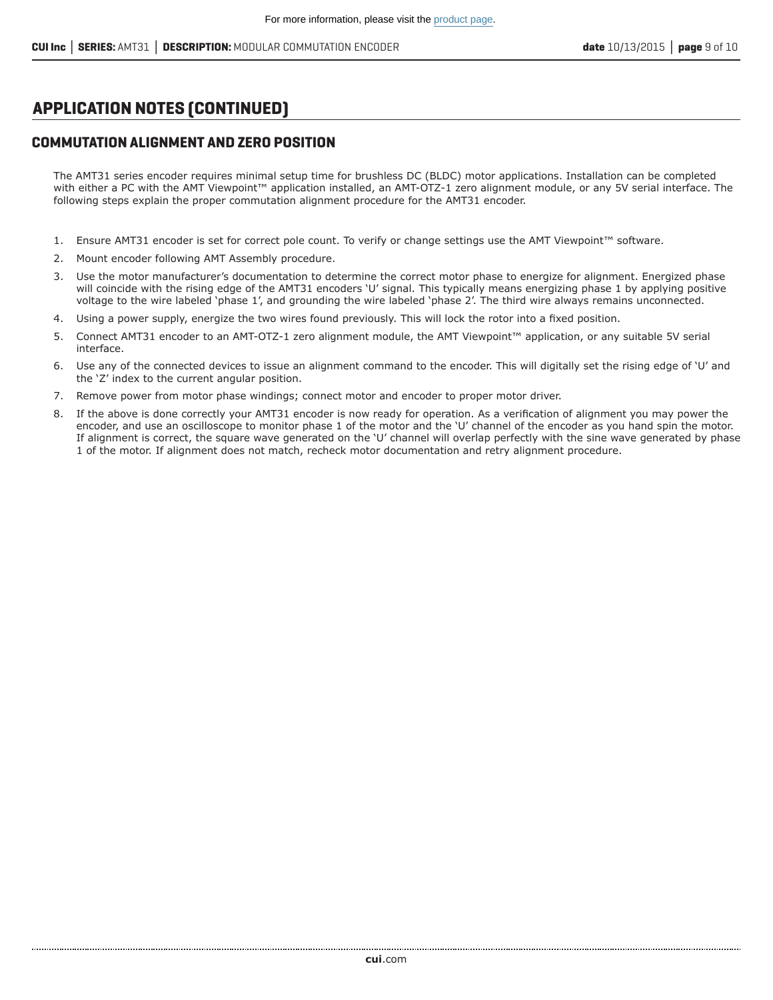## **APPLICATION NOTES (CONTINUED)**

#### **COMMUTATION ALIGNMENT AND ZERO POSITION**

The AMT31 series encoder requires minimal setup time for brushless DC (BLDC) motor applications. Installation can be completed with either a PC with the AMT Viewpoint™ application installed, an AMT-OTZ-1 zero alignment module, or any 5V serial interface. The following steps explain the proper commutation alignment procedure for the AMT31 encoder.

- 1. Ensure AMT31 encoder is set for correct pole count. To verify or change settings use the AMT Viewpoint™ software.
- 2. Mount encoder following AMT Assembly procedure.
- 3. Use the motor manufacturer's documentation to determine the correct motor phase to energize for alignment. Energized phase will coincide with the rising edge of the AMT31 encoders 'U' signal. This typically means energizing phase 1 by applying positive voltage to the wire labeled 'phase 1', and grounding the wire labeled 'phase 2'. The third wire always remains unconnected.
- 4. Using a power supply, energize the two wires found previously. This will lock the rotor into a fixed position.
- 5. Connect AMT31 encoder to an AMT-OTZ-1 zero alignment module, the AMT Viewpoint™ application, or any suitable 5V serial interface.
- 6. Use any of the connected devices to issue an alignment command to the encoder. This will digitally set the rising edge of 'U' and the 'Z' index to the current angular position.
- 7. Remove power from motor phase windings; connect motor and encoder to proper motor driver.
- 8. If the above is done correctly your AMT31 encoder is now ready for operation. As a verification of alignment you may power the encoder, and use an oscilloscope to monitor phase 1 of the motor and the 'U' channel of the encoder as you hand spin the motor. If alignment is correct, the square wave generated on the 'U' channel will overlap perfectly with the sine wave generated by phase 1 of the motor. If alignment does not match, recheck motor documentation and retry alignment procedure.